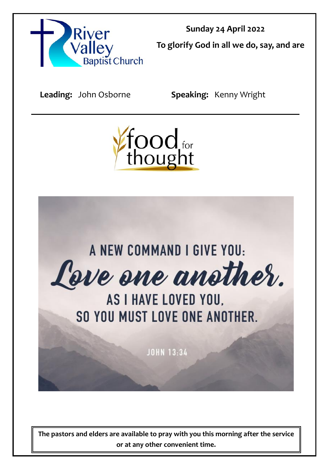

**Sunday 24 April 2022 To glorify God in all we do, say, and are** 

**Leading:** John Osborne **Speaking:** Kenny Wright





**The pastors and elders are available to pray with you this morning after the service or at any other convenient time.**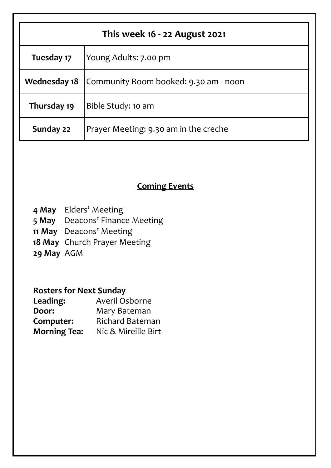| This week 16 - 22 August 2021 |                                       |  |
|-------------------------------|---------------------------------------|--|
| Tuesday 17                    | Young Adults: 7.00 pm                 |  |
| <b>Wednesday 18</b>           | Community Room booked: 9.30 am - noon |  |
| Thursday 19                   | Bible Study: 10 am                    |  |
| Sunday 22                     | Prayer Meeting: 9.30 am in the creche |  |

## **Coming Events**

- **4 May** Elders' Meeting
- **5 May** Deacons' Finance Meeting
- **11 May** Deacons' Meeting
- **18 May** Church Prayer Meeting
- **29 May** AGM

# **Rosters for Next Sunday**

| Leading:            | Averil Osborne         |
|---------------------|------------------------|
| Door:               | Mary Bateman           |
| Computer:           | <b>Richard Bateman</b> |
| <b>Morning Tea:</b> | Nic & Mireille Birt    |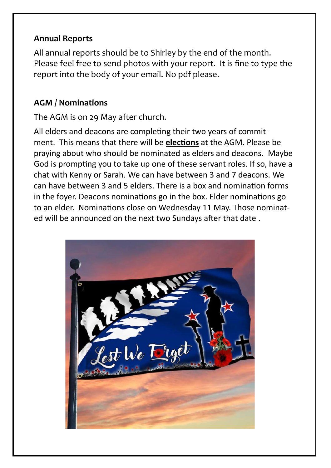### **Annual Reports**

All annual reports should be to Shirley by the end of the month. Please feel free to send photos with your report. It is fine to type the report into the body of your email. No pdf please.

### **AGM / Nominations**

The AGM is on 29 May after church.

All elders and deacons are completing their two years of commitment. This means that there will be **elections** at the AGM. Please be praying about who should be nominated as elders and deacons. Maybe God is prompting you to take up one of these servant roles. If so, have a chat with Kenny or Sarah. We can have between 3 and 7 deacons. We can have between 3 and 5 elders. There is a box and nomination forms in the foyer. Deacons nominations go in the box. Elder nominations go to an elder. Nominations close on Wednesday 11 May. Those nominated will be announced on the next two Sundays after that date .